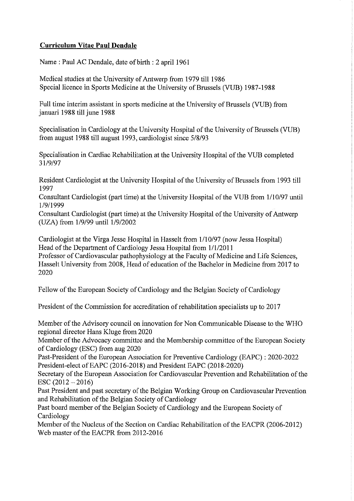## **Curriculum Vitae Paul Dendale**

Name: Paul AC Dendale, date of birth : 2 april 1961

Medical studies at the University of Antwerp from 1979 till 1986 Special licence in Sports Medicine at the University of Brussels (VUB) 1987-1988

Full time interim assistant in sports medicine at the University of Brussels (VUB) from januari 1988 till june 1988

Specialisation in Cardiology at the University Hospital of the University of Brussels (VUB) from august 1988 till august 1993, cardiologist since 5/8/93

Specialisation in Cardiac Rehabilitation at the University Hospital of the VUB completed 31/9/97

Resident Cardiologist at the University Hospital of the University of Brussels from 1993 till 1997

Consultant Cardiologist (part time) at the University Hospital of the VUB from 1/10/97 until 1/9/1999

Consultant Cardiologist (part time) at the University Hospital of the University of Antwerp (UZA) from 1/9/99 until 1/9/2002

Cardiologist at the Virga Jesse Hospital in Hasselt from 1/10/97 (now Jessa Hospital) Head of the Department of Cardiology Jessa Hospital from 1/1/2011

Professor of Cardiovascular pathophysiology at the Faculty of Medicine and Life Sciences, Hasselt University from 2008, Head of education of the Bachelor in Medicine from 2017 to 2020

Fellow of the European Society of Cardiology and the Belgian Society of Cardiology

President of the Commission for accreditation of rehabilitation specialists up to 2017

Member of the Advisory council on innovation for Non Communicable Disease to the WHO regional director Hans Kluge from 2020

Member of the Advocacy committee and the Membership committee of the European Society of Cardiology (ESC) from aug 2020

Past-President of the European Association for Preventive Cardiology (EAPC) : 2020-2022 President-elect of EAPC (2016-2018) and President EAPC (2018-2020)

Secretary of the European Association for Cardiovascular Prevention and Rehabilitation of the  $\text{ESC} (2012 - 2016)$ 

Past President and past secretary of the Belgian Working Group on Cardiovascular Prevention and Rehabilitation of the Belgian Society of Cardiology

Past board member of the Belgian Society of Cardiology and the European Society of Cardiology

Member of the Nucleus of the Section on Cardiac Rehabilitation of the EACPR (2006-2012) Web master of the EACPR from 2012-2016